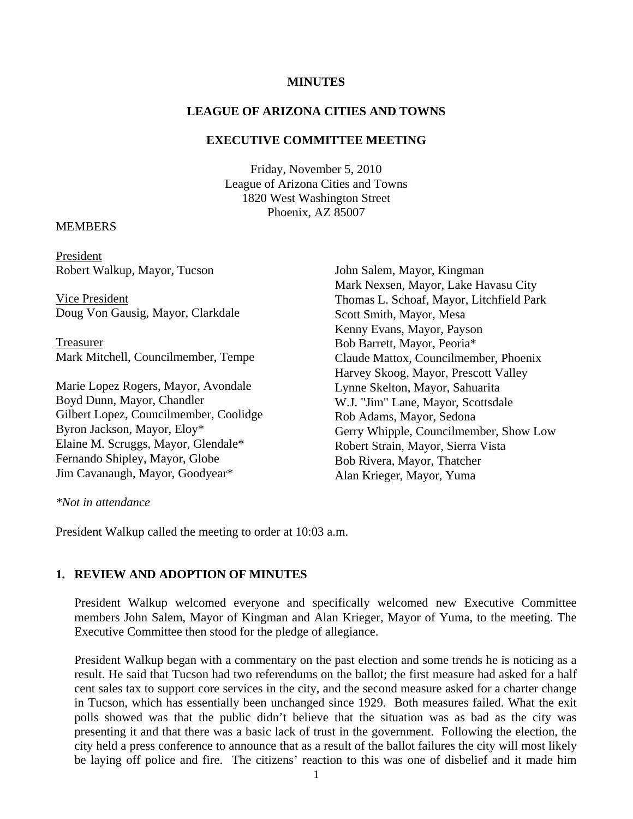### **MINUTES**

### **LEAGUE OF ARIZONA CITIES AND TOWNS**

### **EXECUTIVE COMMITTEE MEETING**

Friday, November 5, 2010 League of Arizona Cities and Towns 1820 West Washington Street Phoenix, AZ 85007

### **MEMBERS**

President Robert Walkup, Mayor, Tucson

 Vice President Doug Von Gausig, Mayor, Clarkdale

Treasurer Mark Mitchell, Councilmember, Tempe

Marie Lopez Rogers, Mayor, Avondale Boyd Dunn, Mayor, Chandler Gilbert Lopez, Councilmember, Coolidge Byron Jackson, Mayor, Eloy\* Elaine M. Scruggs, Mayor, Glendale\* Fernando Shipley, Mayor, Globe Jim Cavanaugh, Mayor, Goodyear\*

John Salem, Mayor, Kingman Mark Nexsen, Mayor, Lake Havasu City Thomas L. Schoaf, Mayor, Litchfield Park Scott Smith, Mayor, Mesa Kenny Evans, Mayor, Payson Bob Barrett, Mayor, Peoria\* Claude Mattox, Councilmember, Phoenix Harvey Skoog, Mayor, Prescott Valley Lynne Skelton, Mayor, Sahuarita W.J. "Jim" Lane, Mayor, Scottsdale Rob Adams, Mayor, Sedona Gerry Whipple, Councilmember, Show Low Robert Strain, Mayor, Sierra Vista Bob Rivera, Mayor, Thatcher Alan Krieger, Mayor, Yuma

#### *\*Not in attendance*

President Walkup called the meeting to order at 10:03 a.m.

### **1. REVIEW AND ADOPTION OF MINUTES**

President Walkup welcomed everyone and specifically welcomed new Executive Committee members John Salem, Mayor of Kingman and Alan Krieger, Mayor of Yuma, to the meeting. The Executive Committee then stood for the pledge of allegiance.

President Walkup began with a commentary on the past election and some trends he is noticing as a result. He said that Tucson had two referendums on the ballot; the first measure had asked for a half cent sales tax to support core services in the city, and the second measure asked for a charter change in Tucson, which has essentially been unchanged since 1929. Both measures failed. What the exit polls showed was that the public didn't believe that the situation was as bad as the city was presenting it and that there was a basic lack of trust in the government. Following the election, the city held a press conference to announce that as a result of the ballot failures the city will most likely be laying off police and fire. The citizens' reaction to this was one of disbelief and it made him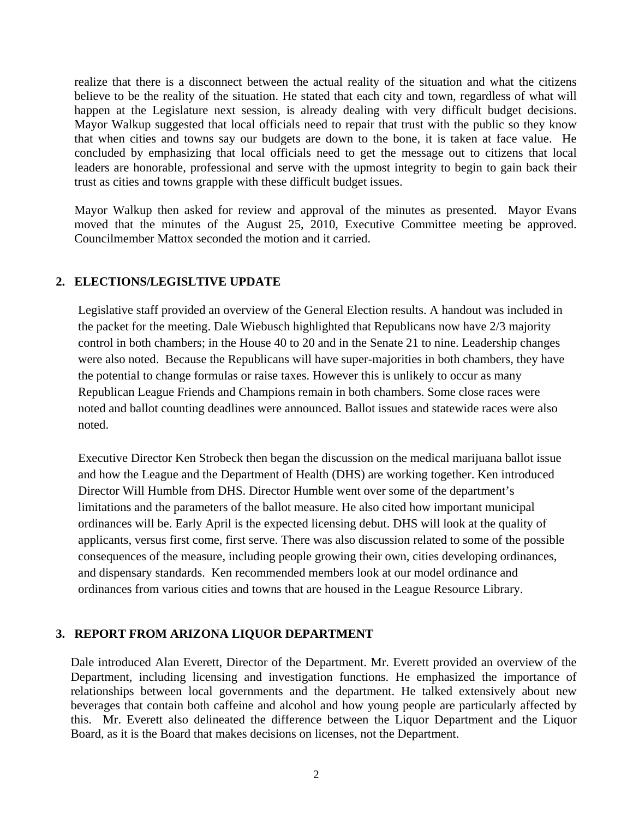realize that there is a disconnect between the actual reality of the situation and what the citizens believe to be the reality of the situation. He stated that each city and town, regardless of what will happen at the Legislature next session, is already dealing with very difficult budget decisions. Mayor Walkup suggested that local officials need to repair that trust with the public so they know that when cities and towns say our budgets are down to the bone, it is taken at face value. He concluded by emphasizing that local officials need to get the message out to citizens that local leaders are honorable, professional and serve with the upmost integrity to begin to gain back their trust as cities and towns grapple with these difficult budget issues.

Mayor Walkup then asked for review and approval of the minutes as presented. Mayor Evans moved that the minutes of the August 25, 2010, Executive Committee meeting be approved. Councilmember Mattox seconded the motion and it carried.

# **2. ELECTIONS/LEGISLTIVE UPDATE**

Legislative staff provided an overview of the General Election results. A handout was included in the packet for the meeting. Dale Wiebusch highlighted that Republicans now have 2/3 majority control in both chambers; in the House 40 to 20 and in the Senate 21 to nine. Leadership changes were also noted. Because the Republicans will have super-majorities in both chambers, they have the potential to change formulas or raise taxes. However this is unlikely to occur as many Republican League Friends and Champions remain in both chambers. Some close races were noted and ballot counting deadlines were announced. Ballot issues and statewide races were also noted.

Executive Director Ken Strobeck then began the discussion on the medical marijuana ballot issue and how the League and the Department of Health (DHS) are working together. Ken introduced Director Will Humble from DHS. Director Humble went over some of the department's limitations and the parameters of the ballot measure. He also cited how important municipal ordinances will be. Early April is the expected licensing debut. DHS will look at the quality of applicants, versus first come, first serve. There was also discussion related to some of the possible consequences of the measure, including people growing their own, cities developing ordinances, and dispensary standards. Ken recommended members look at our model ordinance and ordinances from various cities and towns that are housed in the League Resource Library.

# **3. REPORT FROM ARIZONA LIQUOR DEPARTMENT**

Dale introduced Alan Everett, Director of the Department. Mr. Everett provided an overview of the Department, including licensing and investigation functions. He emphasized the importance of relationships between local governments and the department. He talked extensively about new beverages that contain both caffeine and alcohol and how young people are particularly affected by this. Mr. Everett also delineated the difference between the Liquor Department and the Liquor Board, as it is the Board that makes decisions on licenses, not the Department.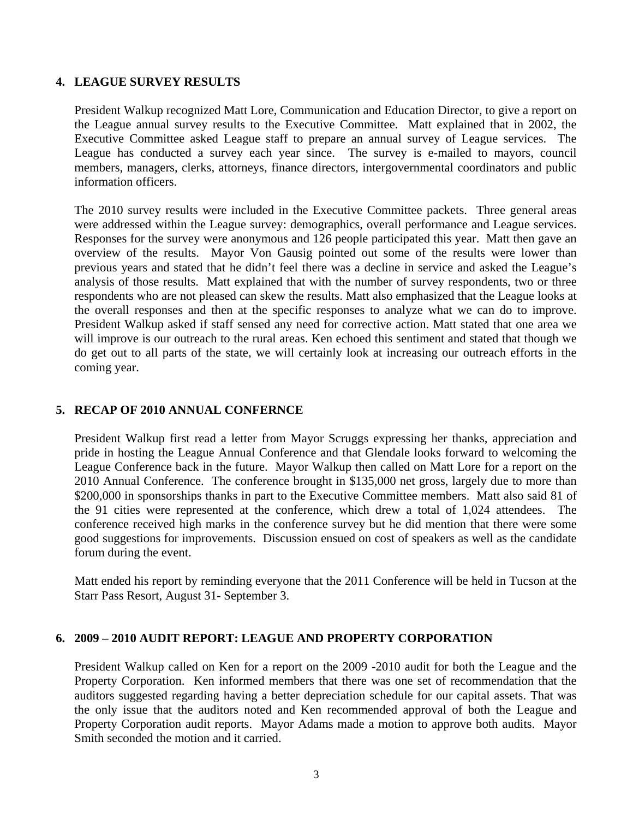## **4. LEAGUE SURVEY RESULTS**

President Walkup recognized Matt Lore, Communication and Education Director, to give a report on the League annual survey results to the Executive Committee. Matt explained that in 2002, the Executive Committee asked League staff to prepare an annual survey of League services. The League has conducted a survey each year since. The survey is e-mailed to mayors, council members, managers, clerks, attorneys, finance directors, intergovernmental coordinators and public information officers.

The 2010 survey results were included in the Executive Committee packets. Three general areas were addressed within the League survey: demographics, overall performance and League services. Responses for the survey were anonymous and 126 people participated this year. Matt then gave an overview of the results. Mayor Von Gausig pointed out some of the results were lower than previous years and stated that he didn't feel there was a decline in service and asked the League's analysis of those results. Matt explained that with the number of survey respondents, two or three respondents who are not pleased can skew the results. Matt also emphasized that the League looks at the overall responses and then at the specific responses to analyze what we can do to improve. President Walkup asked if staff sensed any need for corrective action. Matt stated that one area we will improve is our outreach to the rural areas. Ken echoed this sentiment and stated that though we do get out to all parts of the state, we will certainly look at increasing our outreach efforts in the coming year.

# **5. RECAP OF 2010 ANNUAL CONFERNCE**

President Walkup first read a letter from Mayor Scruggs expressing her thanks, appreciation and pride in hosting the League Annual Conference and that Glendale looks forward to welcoming the League Conference back in the future. Mayor Walkup then called on Matt Lore for a report on the 2010 Annual Conference. The conference brought in \$135,000 net gross, largely due to more than \$200,000 in sponsorships thanks in part to the Executive Committee members. Matt also said 81 of the 91 cities were represented at the conference, which drew a total of 1,024 attendees. The conference received high marks in the conference survey but he did mention that there were some good suggestions for improvements. Discussion ensued on cost of speakers as well as the candidate forum during the event.

Matt ended his report by reminding everyone that the 2011 Conference will be held in Tucson at the Starr Pass Resort, August 31- September 3.

## **6. 2009 – 2010 AUDIT REPORT: LEAGUE AND PROPERTY CORPORATION**

President Walkup called on Ken for a report on the 2009 -2010 audit for both the League and the Property Corporation. Ken informed members that there was one set of recommendation that the auditors suggested regarding having a better depreciation schedule for our capital assets. That was the only issue that the auditors noted and Ken recommended approval of both the League and Property Corporation audit reports. Mayor Adams made a motion to approve both audits. Mayor Smith seconded the motion and it carried.